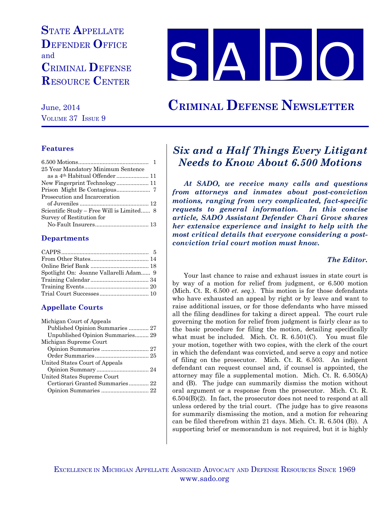**S**TATE **A**PPELLATE **D**EFENDER **O**FFICE and **C**RIMINAL **D**EFENSE **R**ESOURCE **C**ENTER

VOLUME 37 ISSUE 9

# S A D O

# June, 2014 **CRIMINAL DEFENSE NEWSLETTER**

# **Features**

| 25 Year Mandatory Minimum Sentence        |  |
|-------------------------------------------|--|
|                                           |  |
| New Fingerprint Technology 11             |  |
|                                           |  |
| Prosecution and Incarceration             |  |
|                                           |  |
| Scientific Study - Free Will is Limited 8 |  |
| Survey of Restitution for                 |  |
|                                           |  |
|                                           |  |

# **Departments**

| Spotlight On: Joanne Vallarelli Adam 9 |
|----------------------------------------|
|                                        |
|                                        |
|                                        |
|                                        |

# **Appellate Courts**

| Michigan Court of Appeals        |  |
|----------------------------------|--|
| Published Opinion Summaries  27  |  |
| Unpublished Opinion Summaries 29 |  |
| Michigan Supreme Court           |  |
|                                  |  |
|                                  |  |
| United States Court of Appeals   |  |
|                                  |  |
| United States Supreme Court      |  |
| Certiorari Granted Summaries 22  |  |
|                                  |  |
|                                  |  |

# *Six and a Half Things Every Litigant Needs to Know About 6.500 Motions*

 *At SADO, we receive many calls and questions from attorneys and inmates about post-conviction motions, ranging from very complicated, fact-specific requests to general information. In this concise article, SADO Assistant Defender Chari Grove shares her extensive experience and insight to help with the most critical details that everyone considering a postconviction trial court motion must know.* 

# *The Editor.*

 Your last chance to raise and exhaust issues in state court is by way of a motion for relief from judgment, or 6.500 motion (Mich. Ct. R. 6.500 *et. seq.*). This motion is for those defendants who have exhausted an appeal by right or by leave and want to raise additional issues, or for those defendants who have missed all the filing deadlines for taking a direct appeal. The court rule governing the motion for relief from judgment is fairly clear as to the basic procedure for filing the motion, detailing specifically what must be included. Mich. Ct. R. 6.501(C). You must file your motion, together with two copies, with the clerk of the court in which the defendant was convicted, and serve a copy and notice of filing on the prosecutor. Mich. Ct. R. 6.503. An indigent defendant can request counsel and, if counsel is appointed, the attorney may file a supplemental motion. Mich. Ct. R. 6.505(A) and (B). The judge can summarily dismiss the motion without oral argument or a response from the prosecutor. Mich. Ct. R. 6.504(B)(2). In fact, the prosecutor does not need to respond at all unless ordered by the trial court. (The judge has to give reasons for summarily dismissing the motion, and a motion for rehearing can be filed therefrom within 21 days. Mich. Ct. R. 6.504 (B)). A supporting brief or memorandum is not required, but it is highly

EXCELLENCE IN MICHIGAN APPELLATE ASSIGNED ADVOCACY AND DEFENSE RESOURCES SINCE 1969 www.sado.org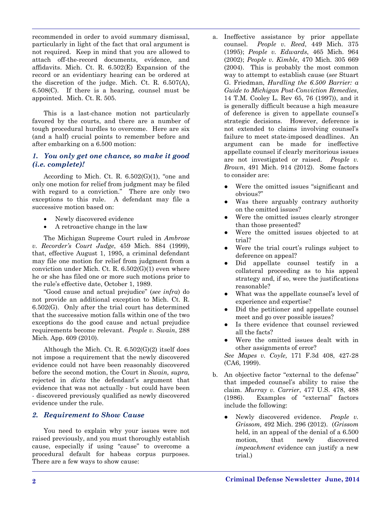recommended in order to avoid summary dismissal, particularly in light of the fact that oral argument is not required. Keep in mind that you are allowed to attach off-the-record documents, evidence, and affidavits. Mich. Ct. R. 6.502(E) Expansion of the record or an evidentiary hearing can be ordered at the discretion of the judge. Mich. Ct. R. 6.507(A), 6.508(C). If there is a hearing, counsel must be appointed. Mich. Ct. R. 505.

 This is a last-chance motion not particularly favored by the courts, and there are a number of tough procedural hurdles to overcome. Here are six (and a half) crucial points to remember before and after embarking on a 6.500 motion:

# *1. You only get one chance, so make it good (i.e. complete)!*

According to Mich. Ct. R.  $6.502(G)(1)$ , "one and only one motion for relief from judgment may be filed with regard to a conviction." There are only two exceptions to this rule. A defendant may file a successive motion based on:

- Newly discovered evidence
- A retroactive change in the law

 The Michigan Supreme Court ruled in *Ambrose v. Recorder's Court Judge*, 459 Mich. 884 (1999), that, effective August 1, 1995, a criminal defendant may file one motion for relief from judgment from a conviction under Mich. Ct. R.  $6.502(G)(1)$  even where he or she has filed one or more such motions prior to the rule's effective date, October 1, 1989.

 "Good cause and actual prejudice" (*see infra*) do not provide an additional exception to Mich. Ct. R. 6.502(G). Only after the trial court has determined that the successive motion falls within one of the two exceptions do the good cause and actual prejudice requirements become relevant. *People v. Swain*, 288 Mich. App. 609 (2010).

Although the Mich. Ct. R.  $6.502(G)(2)$  itself does not impose a requirement that the newly discovered evidence could not have been reasonably discovered before the second motion, the Court in *Swain, supra,* rejected in *dicta* the defendant's argument that evidence that was not actually - but could have been - discovered previously qualified as newly discovered evidence under the rule.

# *2. Requirement to Show Cause*

 You need to explain why your issues were not raised previously, and you must thoroughly establish cause, especially if using "cause" to overcome a procedural default for habeas corpus purposes. There are a few ways to show cause:

- a. Ineffective assistance by prior appellate counsel. *People v. Reed*, 449 Mich. 375 (1995); *People v. Edwards*, 465 Mich. 964 (2002); *People v. Kimble*, 470 Mich. 305 669 (2004). This is probably the most common way to attempt to establish cause (*see* Stuart G. Friedman, *Hurdling the 6.500 Barrier: a Guide to Michigan Post-Conviction Remedies*, 14 T.M. Cooley L. Rev 65, 76 (1997)), and it is generally difficult because a high measure of deference is given to appellate counsel's strategic decisions. However, deference is not extended to claims involving counsel's failure to meet state-imposed deadlines. An argument can be made for ineffective appellate counsel if clearly meritorious issues are not investigated or raised. *People v. Brown*, 491 Mich. 914 (2012). Some factors to consider are:
	- Were the omitted issues "significant and obvious?"
	- Was there arguably contrary authority on the omitted issues?
	- Were the omitted issues clearly stronger than those presented?
	- Were the omitted issues objected to at trial?
	- Were the trial court's rulings subject to deference on appeal?
	- Did appellate counsel testify in a collateral proceeding as to his appeal strategy and, if so, were the justifications reasonable?
	- What was the appellate counsel's level of experience and expertise?
	- Did the petitioner and appellate counsel meet and go over possible issues?
	- Is there evidence that counsel reviewed all the facts?
	- Were the omitted issues dealt with in other assignments of error?

*See Mapes v. Coyle,* 171 F.3d 408, 427-28 (CA6, 1999).

- b. An objective factor "external to the defense" that impeded counsel's ability to raise the claim. *Murray v. Carrier*, 477 U.S. 478, 488 (1986). Examples of "external" factors include the following:
	- Newly discovered evidence. *People v. Grissom,* 492 Mich. 296 (2012). (*Grissom* held, in an appeal of the denial of a 6.500 motion, that newly discovered *impeachment* evidence can justify a new trial.)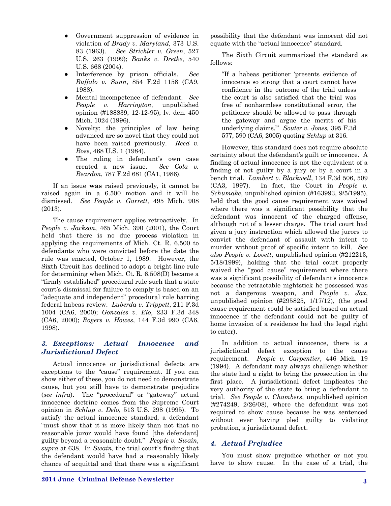- Government suppression of evidence in violation of *Brady v. Maryland,* 373 U.S. 83 (1963). *See Strickler v. Green*, 527 U.S. 263 (1999); *Banks v. Dretke*, 540 U.S. 668 (2004).
- Interference by prison officials. See *Buffalo v. Sunn*, 854 F.2d 1158 (CA9, 1988).
- Mental incompetence of defendant. *See People v. Harrington*, unpublished opinion (#188839, 12-12-95); lv. den. 450 Mich. 1024 (1996).
- Novelty: the principles of law being advanced are so novel that they could not have been raised previously. *Reed v. Ross*, 468 U.S. 1 (1984).
- The ruling in defendant's own case created a new issue. *See Cola v. Reardon*, 787 F.2d 681 (CA1, 1986).

 If an issue **was** raised previously, it cannot be raised again in a 6.500 motion and it will be dismissed. *See People v. Garrett,* 495 Mich. 908 (2013).

 The cause requirement applies retroactively. In *People v. Jackson*, 465 Mich. 390 (2001), the Court held that there is no due process violation in applying the requirements of Mich. Ct. R. 6.500 to defendants who were convicted before the date the rule was enacted, October 1, 1989. However, the Sixth Circuit has declined to adopt a bright line rule for determining when Mich. Ct. R. 6.508(D) became a "firmly established" procedural rule such that a state court's dismissal for failure to comply is based on an "adequate and independent" procedural rule barring federal habeas review. *Luberda v. Trippett*, 211 F.3d 1004 (CA6, 2000); *Gonzales v. Elo*, 233 F.3d 348 (CA6, 2000); *Rogers v. Howes*, 144 F.3d 990 (CA6, 1998).

# *3. Exceptions: Actual Innocence and Jurisdictional Defect*

 Actual innocence or jurisdictional defects are exceptions to the "cause" requirement. If you can show either of these, you do not need to demonstrate cause, but you still have to demonstrate prejudice (*see infra*). The "procedural" or "gateway" actual innocence doctrine comes from the Supreme Court opinion in *Schlup v. Delo*, 513 U.S. 298 (1995). To satisfy the actual innocence standard, a defendant "must show that it is more likely than not that no reasonable juror would have found [the defendant] guilty beyond a reasonable doubt." *People v. Swain, supra* at 638. In *Swain,* the trial court's finding that the defendant would have had a reasonably likely chance of acquittal and that there was a significant

possibility that the defendant was innocent did not equate with the "actual innocence" standard.

 The Sixth Circuit summarized the standard as follows:

"If a habeas petitioner 'presents evidence of innocence so strong that a court cannot have confidence in the outcome of the trial unless the court is also satisfied that the trial was free of nonharmless constitutional error, the petitioner should be allowed to pass through the gateway and argue the merits of his underlying claims.'" *Souter v. Jones,* 395 F.3d 577, 590 (CA6, 2005) quoting *Schlup* at 316.

 However, this standard does not require absolute certainty about the defendant's guilt or innocence. A finding of actual innocence is not the equivalent of a finding of not guilty by a jury or by a court in a bench trial. *Lambert v. Blackwell*, 134 F.3d 506, 509 (CA3, 1997). In fact, the Court in *People v. Schumake*, unpublished opinion (#163993, 9/5/1995), held that the good cause requirement was waived where there was a significant possibility that the defendant was innocent of the charged offense, although not of a lesser charge. The trial court had given a jury instruction which allowed the jurors to convict the defendant of assault with intent to murder without proof of specific intent to kill. *See also People v. Lovett*, unpublished opinion (#212213, 5/18/1999), holding that the trial court properly waived the "good cause" requirement where there was a significant possibility of defendant's innocence because the retractable nightstick he possessed was not a dangerous weapon, and *People v. Jax*, unpublished opinion (#295825, 1/17/12), (the good cause requirement could be satisfied based on actual innocence if the defendant could not be guilty of home invasion of a residence he had the legal right to enter).

 In addition to actual innocence, there is a jurisdictional defect exception to the cause requirement. *People v. Carpentier*, 446 Mich. 19 (1994). A defendant may always challenge whether the state had a right to bring the prosecution in the first place. A jurisdictional defect implicates the very authority of the state to bring a defendant to trial. *See People v. Chambers*, unpublished opinion (#274249, 2/26/08), where the defendant was not required to show cause because he was sentenced without ever having pled guilty to violating probation, a jurisdictional defect.

# *4. Actual Prejudice*

 You must show prejudice whether or not you have to show cause. In the case of a trial, the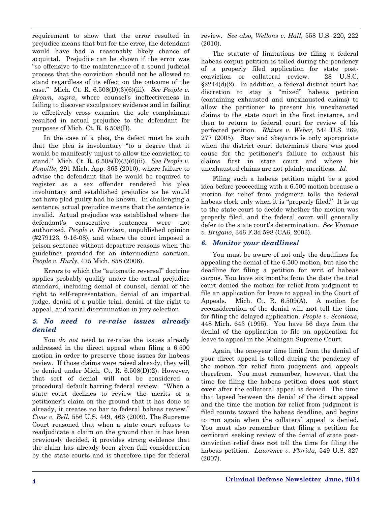requirement to show that the error resulted in prejudice means that but for the error, the defendant would have had a reasonably likely chance of acquittal. Prejudice can be shown if the error was "so offensive to the maintenance of a sound judicial process that the conviction should not be allowed to stand regardless of its effect on the outcome of the case." Mich. Ct. R. 6.508(D)(3)(6)(iii). *See People v. Brown, supra*, where counsel's ineffectiveness in failing to discover exculpatory evidence and in failing to effectively cross examine the sole complainant resulted in actual prejudice to the defendant for purposes of Mich. Ct. R. 6.508(D).

 In the case of a plea, the defect must be such that the plea is involuntary "to a degree that it would be manifestly unjust to allow the conviction to stand." Mich. Ct. R. 6.508(D)(3)(6)(ii). *See People v. Fonville*, 291 Mich. App. 363 (2010), where failure to advise the defendant that he would be required to register as a sex offender rendered his plea involuntary and established prejudice as he would not have pled guilty had he known. In challenging a sentence, actual prejudice means that the sentence is invalid. Actual prejudice was established where the defendant's consecutive sentences were not authorized, *People v. Harrison*, unpublished opinion (#279123, 9-16-08), and where the court imposed a prison sentence without departure reasons when the guidelines provided for an intermediate sanction. *People v. Hurly*, 475 Mich. 858 (2006).

 Errors to which the "automatic reversal" doctrine applies probably qualify under the actual prejudice standard, including denial of counsel, denial of the right to self-representation, denial of an impartial judge, denial of a public trial, denial of the right to appeal, and racial discrimination in jury selection.

# *5. No need to re-raise issues already denied*

 You *do not* need to re-raise the issues already addressed in the direct appeal when filing a 6.500 motion in order to preserve those issues for habeas review. If those claims were raised already, they will be denied under Mich. Ct. R. 6.508(D)(2). However, that sort of denial will not be considered a procedural default barring federal review. "When a state court declines to review the merits of a petitioner's claim on the ground that it has done so already, it creates no bar to federal habeas review." *Cone v. Bell*, 556 U.S. 449, 466 (2009). The Supreme Court reasoned that when a state court refuses to readjudicate a claim on the ground that it has been previously decided, it provides strong evidence that the claim has already been given full consideration by the state courts and is therefore ripe for federal review. *See also, Wellons v. Hall*, 558 U.S. 220, 222 (2010).

 The statute of limitations for filing a federal habeas corpus petition is tolled during the pendency of a properly filed application for state postconviction or collateral review. 28 U.S.C.  $§2244(d)(2)$ . In addition, a federal district court has discretion to stay a "mixed" habeas petition (containing exhausted and unexhausted claims) to allow the petitioner to present his unexhausted claims to the state court in the first instance, and then to return to federal court for review of his perfected petition. *Rhines v. Weber*, 544 U.S. 269, 277 (2005). Stay and abeyance is only appropriate when the district court determines there was good cause for the petitioner's failure to exhaust his claims first in state court and where his unexhausted claims are not plainly meritless. *Id*.

 Filing such a habeas petition might be a good idea before proceeding with a 6.500 motion because a motion for relief from judgment tolls the federal habeas clock only when it is "properly filed." It is up to the state court to decide whether the motion was properly filed, and the federal court will generally defer to the state court's determination. *See Vroman v. Brigano*, 346 F.3d 598 (CA6, 2003).

# *6. Monitor your deadlines!*

 You must be aware of not only the deadlines for appealing the denial of the 6.500 motion, but also the deadline for filing a petition for writ of habeas corpus. You have six months from the date the trial court denied the motion for relief from judgment to file an application for leave to appeal in the Court of Appeals. Mich. Ct. R. 6.509(A). A motion for reconsideration of the denial will **not** toll the time for filing the delayed application. *People v. Sconious*, 448 Mich. 643 (1995). You have 56 days from the denial of the application to file an application for leave to appeal in the Michigan Supreme Court.

 Again, the one-year time limit from the denial of your direct appeal is tolled during the pendency of the motion for relief from judgment and appeals therefrom. You must remember, however, that the time for filing the habeas petition **does not start over** after the collateral appeal is denied. The time that lapsed between the denial of the direct appeal and the time the motion for relief from judgment is filed counts toward the habeas deadline, and begins to run again when the collateral appeal is denied. You must also remember that filing a petition for certiorari seeking review of the denial of state postconviction relief does **not** toll the time for filing the habeas petition. *Lawrence v. Florida*, 549 U.S. 327 (2007).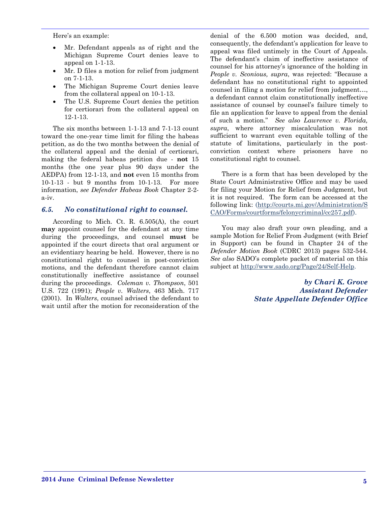Here's an example:

- Mr. Defendant appeals as of right and the Michigan Supreme Court denies leave to appeal on 1-1-13.
- Mr. D files a motion for relief from judgment on 7-1-13.
- The Michigan Supreme Court denies leave from the collateral appeal on 10-1-13.
- The U.S. Supreme Court denies the petition for certiorari from the collateral appeal on 12-1-13.

 The six months between 1-1-13 and 7-1-13 count toward the one-year time limit for filing the habeas petition, as do the two months between the denial of the collateral appeal and the denial of certiorari, making the federal habeas petition due - **not** 15 months (the one year plus 90 days under the AEDPA) from 12-1-13, and **not** even 15 months from 10-1-13 - but 9 months from 10-1-13. For more information, *see Defender Habeas Book* Chapter 2-2 a-iv.

## *6.5. No constitutional right to counsel.*

According to Mich. Ct. R. 6.505(A), the court **may** appoint counsel for the defendant at any time during the proceedings, and counsel **must** be appointed if the court directs that oral argument or an evidentiary hearing be held. However, there is no constitutional right to counsel in post-conviction motions, and the defendant therefore cannot claim constitutionally ineffective assistance of counsel during the proceedings. *Coleman v. Thompson*, 501 U.S. 722 (1991); *People v. Walters*, 463 Mich. 717 (2001). In *Walters*, counsel advised the defendant to wait until after the motion for reconsideration of the denial of the 6.500 motion was decided, and, consequently, the defendant's application for leave to appeal was filed untimely in the Court of Appeals. The defendant's claim of ineffective assistance of counsel for his attorney's ignorance of the holding in *People v. Sconious, supra*, was rejected: "Because a defendant has no constitutional right to appointed counsel in filing a motion for relief from judgment…, a defendant cannot claim constitutionally ineffective assistance of counsel by counsel's failure timely to file an application for leave to appeal from the denial of such a motion." *See also Lawrence v. Florida, supra*, where attorney miscalculation was not sufficient to warrant even equitable tolling of the statute of limitations, particularly in the postconviction context where prisoners have no constitutional right to counsel.

 There is a form that has been developed by the State Court Administrative Office and may be used for filing your Motion for Relief from Judgment, but it is not required. The form can be accessed at the following link: (http://courts.mi.gov/Administration/S CAO/Forms/courtforms/felonycriminal/cc257.pdf).

 You may also draft your own pleading, and a sample Motion for Relief From Judgment (with Brief in Support) can be found in Chapter 24 of the *Defender Motion Book* (CDRC 2013) pages 532-544. *See also* SADO's complete packet of material on this subject at http://www.sado.org/Page/24/Self-Help.

> *by Chari K. Grove Assistant Defender State Appellate Defender Office*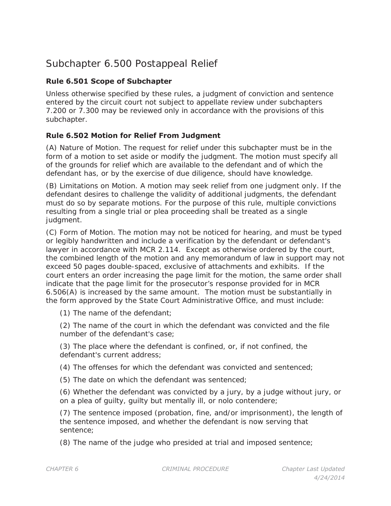# Subchapter 6.500 Postappeal Relief

# **Rule 6.501 Scope of Subchapter**

Unless otherwise specified by these rules, a judgment of conviction and sentence entered by the circuit court not subject to appellate review under subchapters 7.200 or 7.300 may be reviewed only in accordance with the provisions of this subchapter.

# **Rule 6.502 Motion for Relief From Judgment**

(A) Nature of Motion. The request for relief under this subchapter must be in the form of a motion to set aside or modify the judgment. The motion must specify all of the grounds for relief which are available to the defendant and of which the defendant has, or by the exercise of due diligence, should have knowledge.

(B) Limitations on Motion. A motion may seek relief from one judgment only. If the defendant desires to challenge the validity of additional judgments, the defendant must do so by separate motions. For the purpose of this rule, multiple convictions resulting from a single trial or plea proceeding shall be treated as a single judgment.

(C) Form of Motion. The motion may not be noticed for hearing, and must be typed or legibly handwritten and include a verification by the defendant or defendant's lawyer in accordance with MCR 2.114. Except as otherwise ordered by the court, the combined length of the motion and any memorandum of law in support may not exceed 50 pages double-spaced, exclusive of attachments and exhibits. If the court enters an order increasing the page limit for the motion, the same order shall indicate that the page limit for the prosecutor's response provided for in MCR 6.506(A) is increased by the same amount. The motion must be substantially in the form approved by the State Court Administrative Office, and must include:

(1) The name of the defendant;

(2) The name of the court in which the defendant was convicted and the file number of the defendant's case;

(3) The place where the defendant is confined, or, if not confined, the defendant's current address;

(4) The offenses for which the defendant was convicted and sentenced;

(5) The date on which the defendant was sentenced;

(6) Whether the defendant was convicted by a jury, by a judge without jury, or on a plea of guilty, guilty but mentally ill, or nolo contendere;

(7) The sentence imposed (probation, fine, and/or imprisonment), the length of the sentence imposed, and whether the defendant is now serving that sentence;

(8) The name of the judge who presided at trial and imposed sentence;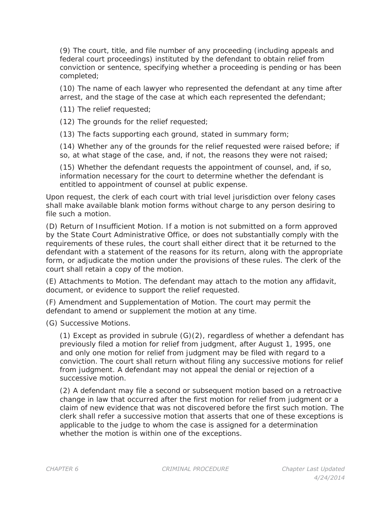(9) The court, title, and file number of any proceeding (including appeals and federal court proceedings) instituted by the defendant to obtain relief from conviction or sentence, specifying whether a proceeding is pending or has been completed;

(10) The name of each lawyer who represented the defendant at any time after arrest, and the stage of the case at which each represented the defendant;

(11) The relief requested;

(12) The grounds for the relief requested;

(13) The facts supporting each ground, stated in summary form;

(14) Whether any of the grounds for the relief requested were raised before; if so, at what stage of the case, and, if not, the reasons they were not raised;

(15) Whether the defendant requests the appointment of counsel, and, if so, information necessary for the court to determine whether the defendant is entitled to appointment of counsel at public expense.

Upon request, the clerk of each court with trial level jurisdiction over felony cases shall make available blank motion forms without charge to any person desiring to file such a motion.

(D) Return of Insufficient Motion. If a motion is not submitted on a form approved by the State Court Administrative Office, or does not substantially comply with the requirements of these rules, the court shall either direct that it be returned to the defendant with a statement of the reasons for its return, along with the appropriate form, or adjudicate the motion under the provisions of these rules. The clerk of the court shall retain a copy of the motion.

(E) Attachments to Motion. The defendant may attach to the motion any affidavit, document, or evidence to support the relief requested.

(F) Amendment and Supplementation of Motion. The court may permit the defendant to amend or supplement the motion at any time.

(G) Successive Motions.

(1) Except as provided in subrule  $(G)(2)$ , regardless of whether a defendant has previously filed a motion for relief from judgment, after August 1, 1995, one and only one motion for relief from judgment may be filed with regard to a conviction. The court shall return without filing any successive motions for relief from judgment. A defendant may not appeal the denial or rejection of a successive motion.

(2) A defendant may file a second or subsequent motion based on a retroactive change in law that occurred after the first motion for relief from judgment or a claim of new evidence that was not discovered before the first such motion. The clerk shall refer a successive motion that asserts that one of these exceptions is applicable to the judge to whom the case is assigned for a determination whether the motion is within one of the exceptions.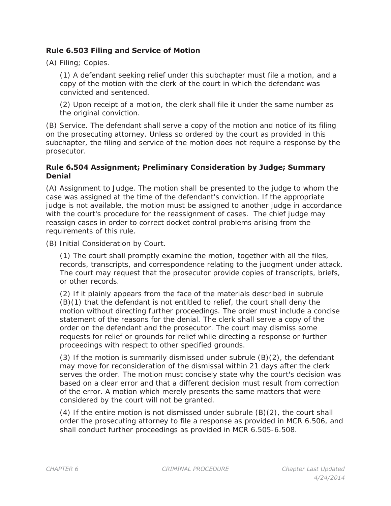# **Rule 6.503 Filing and Service of Motion**

(A) Filing; Copies.

(1) A defendant seeking relief under this subchapter must file a motion, and a copy of the motion with the clerk of the court in which the defendant was convicted and sentenced.

(2) Upon receipt of a motion, the clerk shall file it under the same number as the original conviction.

(B) Service. The defendant shall serve a copy of the motion and notice of its filing on the prosecuting attorney. Unless so ordered by the court as provided in this subchapter, the filing and service of the motion does not require a response by the prosecutor.

# **Rule 6.504 Assignment; Preliminary Consideration by Judge; Summary Denial**

(A) Assignment to Judge. The motion shall be presented to the judge to whom the case was assigned at the time of the defendant's conviction. If the appropriate judge is not available, the motion must be assigned to another judge in accordance with the court's procedure for the reassignment of cases. The chief judge may reassign cases in order to correct docket control problems arising from the requirements of this rule.

(B) Initial Consideration by Court.

(1) The court shall promptly examine the motion, together with all the files, records, transcripts, and correspondence relating to the judgment under attack. The court may request that the prosecutor provide copies of transcripts, briefs, or other records.

(2) If it plainly appears from the face of the materials described in subrule (B)(1) that the defendant is not entitled to relief, the court shall deny the motion without directing further proceedings. The order must include a concise statement of the reasons for the denial. The clerk shall serve a copy of the order on the defendant and the prosecutor. The court may dismiss some requests for relief or grounds for relief while directing a response or further proceedings with respect to other specified grounds.

(3) If the motion is summarily dismissed under subrule (B)(2), the defendant may move for reconsideration of the dismissal within 21 days after the clerk serves the order. The motion must concisely state why the court's decision was based on a clear error and that a different decision must result from correction of the error. A motion which merely presents the same matters that were considered by the court will not be granted.

(4) If the entire motion is not dismissed under subrule (B)(2), the court shall order the prosecuting attorney to file a response as provided in MCR 6.506, and shall conduct further proceedings as provided in MCR 6.505-6.508.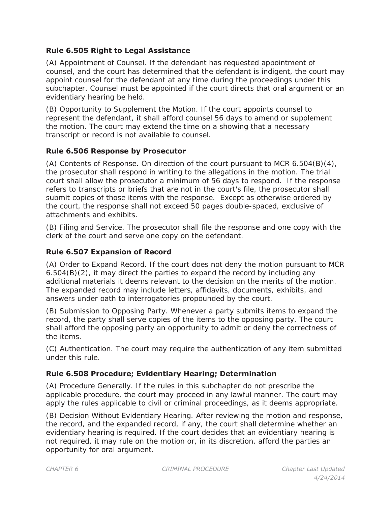# **Rule 6.505 Right to Legal Assistance**

(A) Appointment of Counsel. If the defendant has requested appointment of counsel, and the court has determined that the defendant is indigent, the court may appoint counsel for the defendant at any time during the proceedings under this subchapter. Counsel must be appointed if the court directs that oral argument or an evidentiary hearing be held.

(B) Opportunity to Supplement the Motion. If the court appoints counsel to represent the defendant, it shall afford counsel 56 days to amend or supplement the motion. The court may extend the time on a showing that a necessary transcript or record is not available to counsel.

# **Rule 6.506 Response by Prosecutor**

(A) Contents of Response. On direction of the court pursuant to MCR  $6.504(B)(4)$ , the prosecutor shall respond in writing to the allegations in the motion. The trial court shall allow the prosecutor a minimum of 56 days to respond. If the response refers to transcripts or briefs that are not in the court's file, the prosecutor shall submit copies of those items with the response. Except as otherwise ordered by the court, the response shall not exceed 50 pages double-spaced, exclusive of attachments and exhibits.

(B) Filing and Service. The prosecutor shall file the response and one copy with the clerk of the court and serve one copy on the defendant.

# **Rule 6.507 Expansion of Record**

(A) Order to Expand Record. If the court does not deny the motion pursuant to MCR  $6.504(B)(2)$ , it may direct the parties to expand the record by including any additional materials it deems relevant to the decision on the merits of the motion. The expanded record may include letters, affidavits, documents, exhibits, and answers under oath to interrogatories propounded by the court.

(B) Submission to Opposing Party. Whenever a party submits items to expand the record, the party shall serve copies of the items to the opposing party. The court shall afford the opposing party an opportunity to admit or deny the correctness of the items.

(C) Authentication. The court may require the authentication of any item submitted under this rule.

# **Rule 6.508 Procedure; Evidentiary Hearing; Determination**

(A) Procedure Generally. If the rules in this subchapter do not prescribe the applicable procedure, the court may proceed in any lawful manner. The court may apply the rules applicable to civil or criminal proceedings, as it deems appropriate.

(B) Decision Without Evidentiary Hearing. After reviewing the motion and response, the record, and the expanded record, if any, the court shall determine whether an evidentiary hearing is required. If the court decides that an evidentiary hearing is not required, it may rule on the motion or, in its discretion, afford the parties an opportunity for oral argument.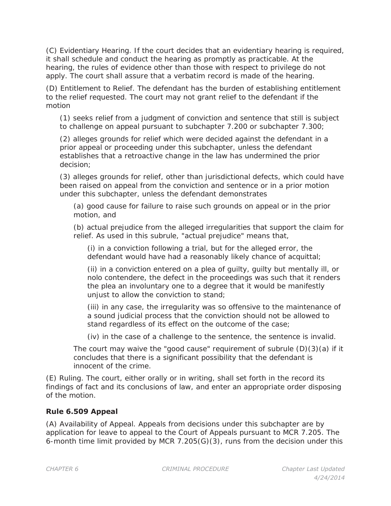(C) Evidentiary Hearing. If the court decides that an evidentiary hearing is required, it shall schedule and conduct the hearing as promptly as practicable. At the hearing, the rules of evidence other than those with respect to privilege do not apply. The court shall assure that a verbatim record is made of the hearing.

(D) Entitlement to Relief. The defendant has the burden of establishing entitlement to the relief requested. The court may not grant relief to the defendant if the motion

(1) seeks relief from a judgment of conviction and sentence that still is subject to challenge on appeal pursuant to subchapter 7.200 or subchapter 7.300;

(2) alleges grounds for relief which were decided against the defendant in a prior appeal or proceeding under this subchapter, unless the defendant establishes that a retroactive change in the law has undermined the prior decision;

(3) alleges grounds for relief, other than jurisdictional defects, which could have been raised on appeal from the conviction and sentence or in a prior motion under this subchapter, unless the defendant demonstrates

(a) good cause for failure to raise such grounds on appeal or in the prior motion, and

(b) actual prejudice from the alleged irregularities that support the claim for relief. As used in this subrule, "actual prejudice" means that,

(i) in a conviction following a trial, but for the alleged error, the defendant would have had a reasonably likely chance of acquittal;

(ii) in a conviction entered on a plea of guilty, guilty but mentally ill, or nolo contendere, the defect in the proceedings was such that it renders the plea an involuntary one to a degree that it would be manifestly unjust to allow the conviction to stand;

(iii) in any case, the irregularity was so offensive to the maintenance of a sound judicial process that the conviction should not be allowed to stand regardless of its effect on the outcome of the case;

(iv) in the case of a challenge to the sentence, the sentence is invalid.

The court may waive the "good cause" requirement of subrule (D)(3)(a) if it concludes that there is a significant possibility that the defendant is innocent of the crime.

(E) Ruling. The court, either orally or in writing, shall set forth in the record its findings of fact and its conclusions of law, and enter an appropriate order disposing of the motion.

# **Rule 6.509 Appeal**

(A) Availability of Appeal. Appeals from decisions under this subchapter are by application for leave to appeal to the Court of Appeals pursuant to MCR 7.205. The 6-month time limit provided by MCR 7.205(G)(3), runs from the decision under this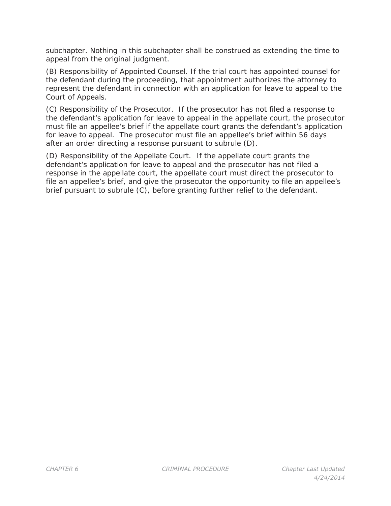subchapter. Nothing in this subchapter shall be construed as extending the time to appeal from the original judgment.

(B) Responsibility of Appointed Counsel. If the trial court has appointed counsel for the defendant during the proceeding, that appointment authorizes the attorney to represent the defendant in connection with an application for leave to appeal to the Court of Appeals.

(C) Responsibility of the Prosecutor. If the prosecutor has not filed a response to the defendant's application for leave to appeal in the appellate court, the prosecutor must file an appellee's brief if the appellate court grants the defendant's application for leave to appeal. The prosecutor must file an appellee's brief within 56 days after an order directing a response pursuant to subrule (D).

(D) Responsibility of the Appellate Court. If the appellate court grants the defendant's application for leave to appeal and the prosecutor has not filed a response in the appellate court, the appellate court must direct the prosecutor to file an appellee's brief, and give the prosecutor the opportunity to file an appellee's brief pursuant to subrule (C), before granting further relief to the defendant.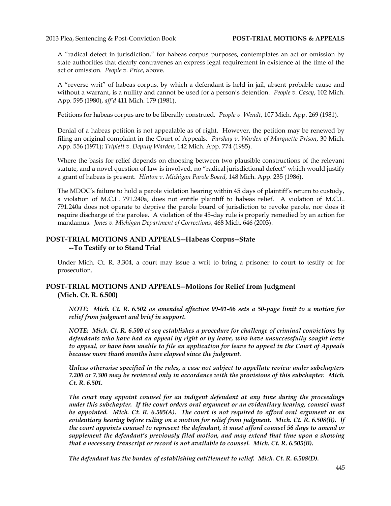A "radical defect in jurisdiction," for habeas corpus purposes, contemplates an act or omission by state authorities that clearly contravenes an express legal requirement in existence at the time of the act or omission. *People v. Price*, above.

A "reverse writ" of habeas corpus, by which a defendant is held in jail, absent probable cause and without a warrant, is a nullity and cannot be used for a person's detention. *People v. Casey*, 102 Mich. App. 595 (1980), *aff'd* 411 Mich. 179 (1981).

Petitions for habeas corpus are to be liberally construed. *People v. Wendt*, 107 Mich. App. 269 (1981).

Denial of a habeas petition is not appealable as of right. However, the petition may be renewed by filing an original complaint in the Court of Appeals. *Parshay v. Warden of Marquette Prison*, 30 Mich. App. 556 (1971); *Triplett v. Deputy Warden*, 142 Mich. App. 774 (1985).

Where the basis for relief depends on choosing between two plausible constructions of the relevant statute, and a novel question of law is involved, no "radical jurisdictional defect" which would justify a grant of habeas is present. *Hinton v. Michigan Parole Board*, 148 Mich. App. 235 (1986).

The MDOC's failure to hold a parole violation hearing within 45 days of plaintiff's return to custody, a violation of M.C.L. 791.240a, does not entitle plaintiff to habeas relief. A violation of M.C.L. 791.240a does not operate to deprive the parole board of jurisdiction to revoke parole, nor does it require discharge of the parolee. A violation of the 45-day rule is properly remedied by an action for mandamus. *Jones v. Michigan Department of Corrections*, 468 Mich. 646 (2003).

# **POST-TRIAL MOTIONS AND APPEALS--Habeas Corpus--State --To Testify or to Stand Trial**

Under Mich. Ct. R. 3.304, a court may issue a writ to bring a prisoner to court to testify or for prosecution.

# **POST-TRIAL MOTIONS AND APPEALS--Motions for Relief from Judgment (Mich. Ct. R. 6.500)**

*NOTE: Mich. Ct. R. 6.502 as amended effective 09-01-06 sets a 50-page limit to a motion for relief from judgment and brief in support.*

*NOTE: Mich. Ct. R. 6.500 et seq establishes a procedure for challenge of criminal convictions by defendants who have had an appeal by right or by leave, who have unsuccessfully sought leave to appeal, or have been unable to file an application for leave to appeal in the Court of Appeals because more than6 months have elapsed since the judgment.*

*Unless otherwise specified in the rules, a case not subject to appellate review under subchapters 7.200 or 7.300 may be reviewed only in accordance with the provisions of this subchapter. Mich. Ct. R. 6.501.*

*The court may appoint counsel for an indigent defendant at any time during the proceedings under this subchapter. If the court orders oral argument or an evidentiary hearing, counsel must be appointed. Mich. Ct. R. 6.505(A). The court is not required to afford oral argument or an evidentiary hearing before ruling on a motion for relief from judgment. Mich. Ct. R. 6.508(B). If the court appoints counsel to represent the defendant, it must afford counsel 56 days to amend or supplement the defendant's previously filed motion, and may extend that time upon a showing that a necessary transcript or record is not available to counsel. Mich. Ct. R. 6.505(B).*

*The defendant has the burden of establishing entitlement to relief. Mich. Ct. R. 6.508(D).*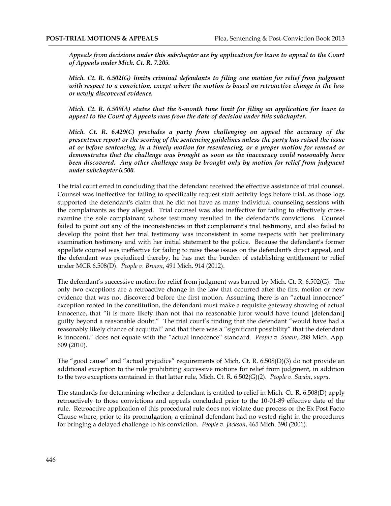*Appeals from decisions under this subchapter are by application for leave to appeal to the Court of Appeals under Mich. Ct. R. 7.205.*

*Mich. Ct. R. 6.502(G) limits criminal defendants to filing one motion for relief from judgment with respect to a conviction, except where the motion is based on retroactive change in the law or newly discovered evidence.*

*Mich. Ct. R. 6.509(A) states that the 6-month time limit for filing an application for leave to appeal to the Court of Appeals runs from the date of decision under this subchapter.*

*Mich. Ct. R. 6.429(C) precludes a party from challenging on appeal the accuracy of the presentence report or the scoring of the sentencing guidelines unless the party has raised the issue at or before sentencing, in a timely motion for resentencing, or a proper motion for remand or demonstrates that the challenge was brought as soon as the inaccuracy could reasonably have been discovered. Any other challenge may be brought only by motion for relief from judgment under subchapter 6.500.*

The trial court erred in concluding that the defendant received the effective assistance of trial counsel. Counsel was ineffective for failing to specifically request staff activity logs before trial, as those logs supported the defendant's claim that he did not have as many individual counseling sessions with the complainants as they alleged. Trial counsel was also ineffective for failing to effectively crossexamine the sole complainant whose testimony resulted in the defendant's convictions. Counsel failed to point out any of the inconsistencies in that complainant's trial testimony, and also failed to develop the point that her trial testimony was inconsistent in some respects with her preliminary examination testimony and with her initial statement to the police. Because the defendant's former appellate counsel was ineffective for failing to raise these issues on the defendant's direct appeal, and the defendant was prejudiced thereby, he has met the burden of establishing entitlement to relief under MCR 6.508(D). *People v. Brown*, 491 Mich. 914 (2012).

The defendant's successive motion for relief from judgment was barred by Mich. Ct. R. 6.502(G). The only two exceptions are a retroactive change in the law that occurred after the first motion or new evidence that was not discovered before the first motion. Assuming there is an "actual innocence" exception rooted in the constitution, the defendant must make a requisite gateway showing of actual innocence, that "it is more likely than not that no reasonable juror would have found [defendant] guilty beyond a reasonable doubt." The trial court's finding that the defendant "would have had a reasonably likely chance of acquittal" and that there was a "significant possibility" that the defendant is innocent," does not equate with the "actual innocence" standard. *People v. Swain*, 288 Mich. App. 609 (2010).

The "good cause" and "actual prejudice" requirements of Mich. Ct. R. 6.508(D)(3) do not provide an additional exception to the rule prohibiting successive motions for relief from judgment, in addition to the two exceptions contained in that latter rule, Mich. Ct. R. 6.502(G)(2). *People v. Swain*, *supra*.

The standards for determining whether a defendant is entitled to relief in Mich. Ct. R. 6.508(D) apply retroactively to those convictions and appeals concluded prior to the 10-01-89 effective date of the rule. Retroactive application of this procedural rule does not violate due process or the Ex Post Facto Clause where, prior to its promulgation, a criminal defendant had no vested right in the procedures for bringing a delayed challenge to his conviction. *People v. Jackson*, 465 Mich. 390 (2001).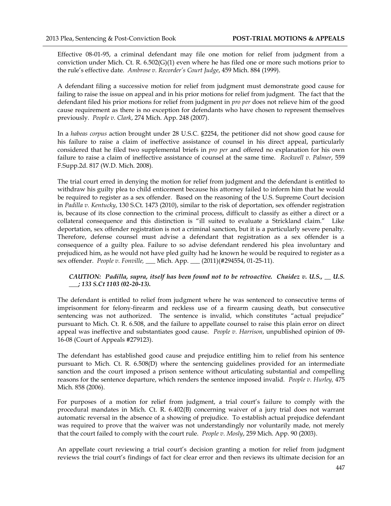Effective 08-01-95, a criminal defendant may file one motion for relief from judgment from a conviction under Mich. Ct. R.  $6.502(G)(1)$  even where he has filed one or more such motions prior to the rule's effective date. *Ambrose v. Recorder's Court Judge*, 459 Mich. 884 (1999).

A defendant filing a successive motion for relief from judgment must demonstrate good cause for failing to raise the issue on appeal and in his prior motions for relief from judgment. The fact that the defendant filed his prior motions for relief from judgment in *pro per* does not relieve him of the good cause requirement as there is no exception for defendants who have chosen to represent themselves previously. *People v. Clark*, 274 Mich. App. 248 (2007).

In a *habeas corpus* action brought under 28 U.S.C. §2254, the petitioner did not show good cause for his failure to raise a claim of ineffective assistance of counsel in his direct appeal, particularly considered that he filed two supplemental briefs in *pro per* and offered no explanation for his own failure to raise a claim of ineffective assistance of counsel at the same time. *Rockwell v. Palmer*, 559 F.Supp.2d. 817 (W.D. Mich. 2008).

The trial court erred in denying the motion for relief from judgment and the defendant is entitled to withdraw his guilty plea to child enticement because his attorney failed to inform him that he would be required to register as a sex offender. Based on the reasoning of the U.S. Supreme Court decision in *Padilla v. Kentucky*, 130 S.Ct. 1473 (2010), similar to the risk of deportation, sex offender registration is, because of its close connection to the criminal process, difficult to classify as either a direct or a collateral consequence and this distinction is "ill suited to evaluate a Strickland claim." Like deportation, sex offender registration is not a criminal sanction, but it is a particularly severe penalty. Therefore, defense counsel must advise a defendant that registration as a sex offender is a consequence of a guilty plea. Failure to so advise defendant rendered his plea involuntary and prejudiced him, as he would not have pled guilty had he known he would be required to register as a sex offender. *People v. Fonville,* \_\_\_ Mich. App. \_\_\_ (2011)(#294554, 01-25-11).

## *CAUTION: Padilla, supra, itself has been found not to be retroactive. Chaidez v. U.S., \_\_ U.S. \_\_\_; 133 S.Ct 1103 (02-20-13).*

The defendant is entitled to relief from judgment where he was sentenced to consecutive terms of imprisonment for felony-firearm and reckless use of a firearm causing death, but consecutive sentencing was not authorized. The sentence is invalid, which constitutes "actual prejudice" pursuant to Mich. Ct. R. 6.508, and the failure to appellate counsel to raise this plain error on direct appeal was ineffective and substantiates good cause. *People v. Harrison*, unpublished opinion of 09- 16-08 (Court of Appeals #279123).

The defendant has established good cause and prejudice entitling him to relief from his sentence pursuant to Mich. Ct. R. 6.508(D) where the sentencing guidelines provided for an intermediate sanction and the court imposed a prison sentence without articulating substantial and compelling reasons for the sentence departure, which renders the sentence imposed invalid. *People v. Hurley,* 475 Mich. 858 (2006).

For purposes of a motion for relief from judgment, a trial court's failure to comply with the procedural mandates in Mich. Ct. R. 6.402(B) concerning waiver of a jury trial does not warrant automatic reversal in the absence of a showing of prejudice. To establish actual prejudice defendant was required to prove that the waiver was not understandingly nor voluntarily made, not merely that the court failed to comply with the court rule. *People v. Mosly*, 259 Mich. App. 90 (2003).

An appellate court reviewing a trial court's decision granting a motion for relief from judgment reviews the trial court's findings of fact for clear error and then reviews its ultimate decision for an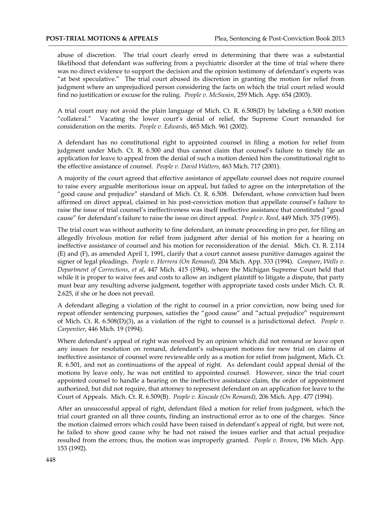abuse of discretion. The trial court clearly erred in determining that there was a substantial likelihood that defendant was suffering from a psychiatric disorder at the time of trial where there was no direct evidence to support the decision and the opinion testimony of defendant's experts was "at best speculative." The trial court abused its discretion in granting the motion for relief from judgment where an unprejudiced person considering the facts on which the trial court relied would find no justification or excuse for the ruling. *People v. McSwain*, 259 Mich. App. 654 (2003).

A trial court may not avoid the plain language of Mich. Ct. R. 6.508(D) by labeling a 6.500 motion "collateral." Vacating the lower court's denial of relief, the Supreme Court remanded for consideration on the merits. *People v. Edwards*, 465 Mich. 961 (2002).

A defendant has no constitutional right to appointed counsel in filing a motion for relief from judgment under Mich. Ct. R. 6.500 and thus cannot claim that counsel's failure to timely file an application for leave to appeal from the denial of such a motion denied him the constitutional right to the effective assistance of counsel. *People v. David Walters*, 463 Mich. 717 (2001).

A majority of the court agreed that effective assistance of appellate counsel does not require counsel to raise every arguable meritorious issue on appeal, but failed to agree on the interpretation of the "good cause and prejudice" standard of Mich. Ct. R. 6.508. Defendant, whose conviction had been affirmed on direct appeal, claimed in his post-conviction motion that appellate counsel's failure to raise the issue of trial counsel's ineffectiveness was itself ineffective assistance that constituted "good cause" for defendant's failure to raise the issue on direct appeal. *People v. Reed*, 449 Mich. 375 (1995).

The trial court was without authority to fine defendant, an inmate proceeding in pro per, for filing an allegedly frivolous motion for relief from judgment after denial of his motion for a hearing on ineffective assistance of counsel and his motion for reconsideration of the denial. Mich. Ct. R. 2.114 (E) and (F), as amended April 1, 1991, clarify that a court cannot assess punitive damages against the signer of legal pleadings. *People v. Herrera (On Remand),* 204 Mich. App. 333 (1994). *Compare*, *Wells v. Department of Corrections*, *et al*, 447 Mich. 415 (1994), where the Michigan Supreme Court held that while it is proper to waive fees and costs to allow an indigent plaintiff to litigate a dispute, that party must bear any resulting adverse judgment, together with appropriate taxed costs under Mich. Ct. R. 2.625, if she or he does not prevail.

A defendant alleging a violation of the right to counsel in a prior conviction, now being used for repeat offender sentencing purposes, satisfies the "good cause" and "actual prejudice" requirement of Mich. Ct. R. 6.508(D)(3), as a violation of the right to counsel is a jurisdictional defect. *People v. Carpentier*, 446 Mich. 19 (1994).

Where defendant's appeal of right was resolved by an opinion which did not remand or leave open any issues for resolution on remand, defendant's subsequent motions for new trial on claims of ineffective assistance of counsel were reviewable only as a motion for relief from judgment, Mich. Ct. R. 6.501, and not as continuations of the appeal of right. As defendant could appeal denial of the motions by leave only, he was not entitled to appointed counsel. However, since the trial court appointed counsel to handle a hearing on the ineffective assistance claim, the order of appointment authorized, but did not require, that attorney to represent defendant on an application for leave to the Court of Appeals. Mich. Ct. R. 6.509(B). *People v. Kincade (On Remand),* 206 Mich. App. 477 (1994).

After an unsuccessful appeal of right, defendant filed a motion for relief from judgment, which the trial court granted on all three counts, finding an instructional error as to one of the charges. Since the motion claimed errors which could have been raised in defendant's appeal of right, but were not, he failed to show good cause why he had not raised the issues earlier and that actual prejudice resulted from the errors; thus, the motion was improperly granted. *People v. Brown*, 196 Mich. App. 153 (1992).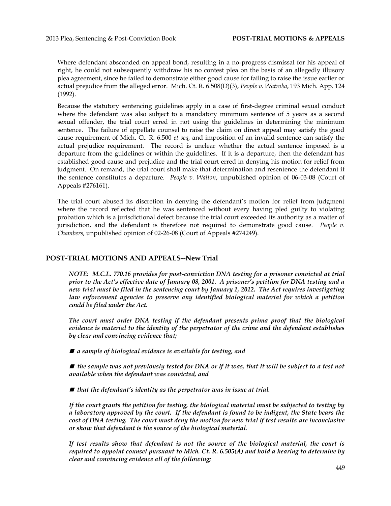Where defendant absconded on appeal bond, resulting in a no-progress dismissal for his appeal of right, he could not subsequently withdraw his no contest plea on the basis of an allegedly illusory plea agreement, since he failed to demonstrate either good cause for failing to raise the issue earlier or actual prejudice from the alleged error. Mich. Ct. R. 6.508(D)(3), *People v. Watroba*, 193 Mich. App. 124 (1992).

Because the statutory sentencing guidelines apply in a case of first-degree criminal sexual conduct where the defendant was also subject to a mandatory minimum sentence of 5 years as a second sexual offender, the trial court erred in not using the guidelines in determining the minimum sentence. The failure of appellate counsel to raise the claim on direct appeal may satisfy the good cause requirement of Mich. Ct. R. 6.500 *et seq*, and imposition of an invalid sentence can satisfy the actual prejudice requirement. The record is unclear whether the actual sentence imposed is a departure from the guidelines or within the guidelines. If it is a departure, then the defendant has established good cause and prejudice and the trial court erred in denying his motion for relief from judgment. On remand, the trial court shall make that determination and resentence the defendant if the sentence constitutes a departure. *People v. Walton*, unpublished opinion of 06-03-08 (Court of Appeals #276161).

The trial court abused its discretion in denying the defendant's motion for relief from judgment where the record reflected that he was sentenced without every having pled guilty to violating probation which is a jurisdictional defect because the trial court exceeded its authority as a matter of jurisdiction, and the defendant is therefore not required to demonstrate good cause. *People v. Chambers*, unpublished opinion of 02-26-08 (Court of Appeals #274249).

## **POST-TRIAL MOTIONS AND APPEALS--New Trial**

*NOTE: M.C.L. 770.16 provides for post-conviction DNA testing for a prisoner convicted at trial prior to the Act's effective date of January 08, 2001. A prisoner's petition for DNA testing and a new trial must be filed in the sentencing court by January 1, 2012. The Act requires investigating*  law enforcement agencies to preserve any identified biological material for which a petition *could be filed under the Act.* 

*The court must order DNA testing if the defendant presents prima proof that the biological evidence is material to the identity of the perpetrator of the crime and the defendant establishes by clear and convincing evidence that;*

■ *a sample of biological evidence is available for testing, and* 

 *the sample was not previously tested for DNA or if it was, that it will be subject to a test not available when the defendant was convicted, and* 

■ that the defendant's identity as the perpetrator was in issue at trial.

*If the court grants the petition for testing, the biological material must be subjected to testing by a laboratory approved by the court. If the defendant is found to be indigent, the State bears the cost of DNA testing. The court must deny the motion for new trial if test results are inconclusive or show that defendant is the source of the biological material.*

*If test results show that defendant is not the source of the biological material, the court is required to appoint counsel pursuant to Mich. Ct. R. 6.505(A) and hold a hearing to determine by clear and convincing evidence all of the following;*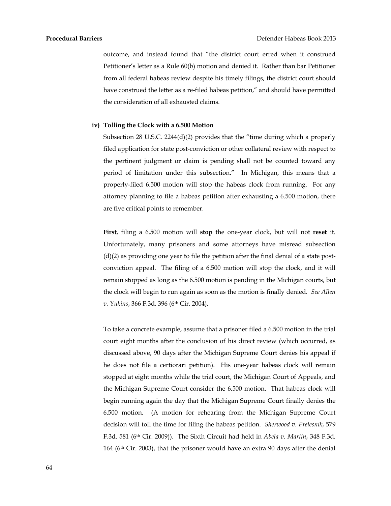outcome, and instead found that "the district court erred when it construed Petitioner's letter as a Rule 60(b) motion and denied it. Rather than bar Petitioner from all federal habeas review despite his timely filings, the district court should have construed the letter as a re-filed habeas petition," and should have permitted the consideration of all exhausted claims.

#### **iv) Tolling the Clock with a 6.500 Motion**

Subsection 28 U.S.C. 2244(d)(2) provides that the "time during which a properly filed application for state post-conviction or other collateral review with respect to the pertinent judgment or claim is pending shall not be counted toward any period of limitation under this subsection." In Michigan, this means that a properly-filed 6.500 motion will stop the habeas clock from running. For any attorney planning to file a habeas petition after exhausting a 6.500 motion, there are five critical points to remember.

**First**, filing a 6.500 motion will **stop** the one-year clock, but will not **reset** it. Unfortunately, many prisoners and some attorneys have misread subsection (d)(2) as providing one year to file the petition after the final denial of a state postconviction appeal. The filing of a 6.500 motion will stop the clock, and it will remain stopped as long as the 6.500 motion is pending in the Michigan courts, but the clock will begin to run again as soon as the motion is finally denied. *See Allen v. Yukins, 366 F.3d. 396 (6<sup>th</sup> Cir. 2004).* 

To take a concrete example, assume that a prisoner filed a 6.500 motion in the trial court eight months after the conclusion of his direct review (which occurred, as discussed above, 90 days after the Michigan Supreme Court denies his appeal if he does not file a certiorari petition). His one-year habeas clock will remain stopped at eight months while the trial court, the Michigan Court of Appeals, and the Michigan Supreme Court consider the 6.500 motion. That habeas clock will begin running again the day that the Michigan Supreme Court finally denies the 6.500 motion. (A motion for rehearing from the Michigan Supreme Court decision will toll the time for filing the habeas petition. *Sherwood v. Prelesnik*, 579 F.3d. 581 (6th Cir. 2009)). The Sixth Circuit had held in *Abela v. Martin*, 348 F.3d. 164 (6<sup>th</sup> Cir. 2003), that the prisoner would have an extra 90 days after the denial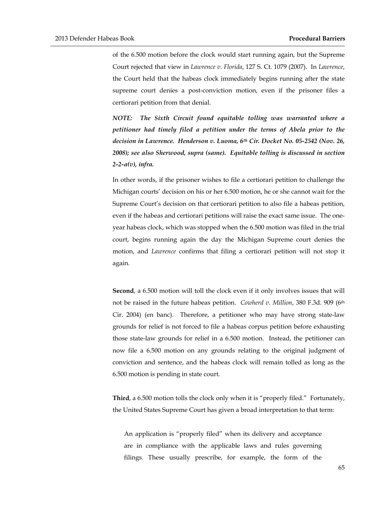of the 6.500 motion before the clock would start running again, but the Supreme Court rejected that view in *Lawrence v. Florida*, 127 S. Ct. 1079 (2007). In *Lawrence*, the Court held that the habeas clock immediately begins running after the state supreme court denies a post-conviction motion, even if the prisoner files a certiorari petition from that denial.

*NOTE: The Sixth Circuit found equitable tolling was warranted where a petitioner had timely filed a petition under the terms of Abela prior to the decision in Lawrence. Henderson v. Luoma, 6th Cir. Docket No. 05-2542 (Nov. 26, 2008); see also Sherwood, supra (same). Equitable tolling is discussed in section 2-2-a(v), infra.* 

In other words, if the prisoner wishes to file a certiorari petition to challenge the Michigan courts' decision on his or her 6.500 motion, he or she cannot wait for the Supreme Court's decision on that certiorari petition to also file a habeas petition, even if the habeas and certiorari petitions will raise the exact same issue. The oneyear habeas clock, which was stopped when the 6.500 motion was filed in the trial court, begins running again the day the Michigan Supreme court denies the motion, and *Lawrence* confirms that filing a certiorari petition will not stop it again.

**Second**, a 6.500 motion will toll the clock even if it only involves issues that will not be raised in the future habeas petition. *Cowherd v. Million*, 380 F.3d. 909 (6th Cir. 2004) (en banc). Therefore, a petitioner who may have strong state-law grounds for relief is not forced to file a habeas corpus petition before exhausting those state-law grounds for relief in a 6.500 motion. Instead, the petitioner can now file a 6.500 motion on any grounds relating to the original judgment of conviction and sentence, and the habeas clock will remain tolled as long as the 6.500 motion is pending in state court.

**Third**, a 6.500 motion tolls the clock only when it is "properly filed." Fortunately, the United States Supreme Court has given a broad interpretation to that term:

An application is "properly filed" when its delivery and acceptance are in compliance with the applicable laws and rules governing filings. These usually prescribe, for example, the form of the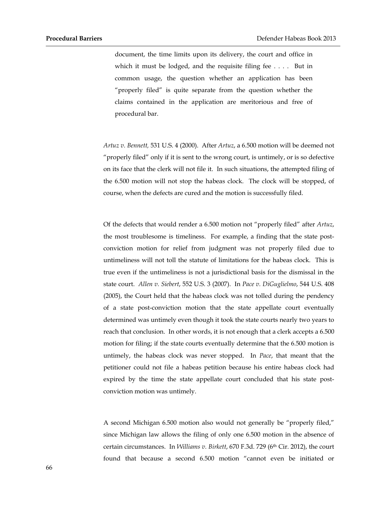document, the time limits upon its delivery, the court and office in which it must be lodged, and the requisite filing fee . . . . But in common usage, the question whether an application has been "properly filed" is quite separate from the question whether the claims contained in the application are meritorious and free of procedural bar.

*Artuz v. Bennett,* 531 U.S. 4 (2000). After *Artuz*, a 6.500 motion will be deemed not "properly filed" only if it is sent to the wrong court, is untimely, or is so defective on its face that the clerk will not file it. In such situations, the attempted filing of the 6.500 motion will not stop the habeas clock. The clock will be stopped, of course, when the defects are cured and the motion is successfully filed.

Of the defects that would render a 6.500 motion not "properly filed" after *Artuz*, the most troublesome is timeliness. For example, a finding that the state postconviction motion for relief from judgment was not properly filed due to untimeliness will not toll the statute of limitations for the habeas clock. This is true even if the untimeliness is not a jurisdictional basis for the dismissal in the state court. *Allen v. Siebert*, 552 U.S. 3 (2007). In *Pace v. DiGuglielmo*, 544 U.S. 408 (2005), the Court held that the habeas clock was not tolled during the pendency of a state post-conviction motion that the state appellate court eventually determined was untimely even though it took the state courts nearly two years to reach that conclusion. In other words, it is not enough that a clerk accepts a 6.500 motion for filing; if the state courts eventually determine that the 6.500 motion is untimely, the habeas clock was never stopped. In *Pace*, that meant that the petitioner could not file a habeas petition because his entire habeas clock had expired by the time the state appellate court concluded that his state postconviction motion was untimely.

A second Michigan 6.500 motion also would not generally be "properly filed," since Michigan law allows the filing of only one 6.500 motion in the absence of certain circumstances. In *Williams v. Birkett*, 670 F.3d. 729 (6th Cir. 2012), the court found that because a second 6.500 motion "cannot even be initiated or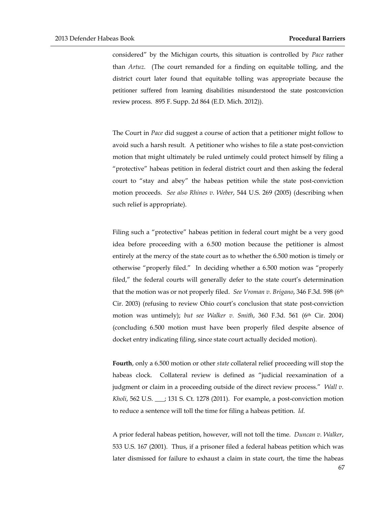considered" by the Michigan courts, this situation is controlled by *Pace* rather than *Artuz*. (The court remanded for a finding on equitable tolling, and the district court later found that equitable tolling was appropriate because the petitioner suffered from learning disabilities misunderstood the state postconviction review process. 895 F. Supp. 2d 864 (E.D. Mich. 2012)).

The Court in *Pace* did suggest a course of action that a petitioner might follow to avoid such a harsh result. A petitioner who wishes to file a state post-conviction motion that might ultimately be ruled untimely could protect himself by filing a "protective" habeas petition in federal district court and then asking the federal court to "stay and abey" the habeas petition while the state post-conviction motion proceeds. *See also Rhines v. Weber*, 544 U.S. 269 (2005) (describing when such relief is appropriate).

Filing such a "protective" habeas petition in federal court might be a very good idea before proceeding with a 6.500 motion because the petitioner is almost entirely at the mercy of the state court as to whether the 6.500 motion is timely or otherwise "properly filed." In deciding whether a 6.500 motion was "properly filed," the federal courts will generally defer to the state court's determination that the motion was or not properly filed. *See Vroman v. Brigano*, 346 F.3d. 598 (6<sup>th</sup>) Cir. 2003) (refusing to review Ohio court's conclusion that state post-conviction motion was untimely); but see Walker v. Smith, 360 F.3d. 561 (6<sup>th</sup> Cir. 2004) (concluding 6.500 motion must have been properly filed despite absence of docket entry indicating filing, since state court actually decided motion).

**Fourth**, only a 6.500 motion or other *state* collateral relief proceeding will stop the habeas clock. Collateral review is defined as "judicial reexamination of a judgment or claim in a proceeding outside of the direct review process." *Wall v. Kholi*, 562 U.S. \_\_\_; 131 S. Ct. 1278 (2011). For example, a post-conviction motion to reduce a sentence will toll the time for filing a habeas petition. *Id*.

A prior federal habeas petition, however, will not toll the time. *Duncan v. Walker*, 533 U.S. 167 (2001). Thus, if a prisoner filed a federal habeas petition which was later dismissed for failure to exhaust a claim in state court, the time the habeas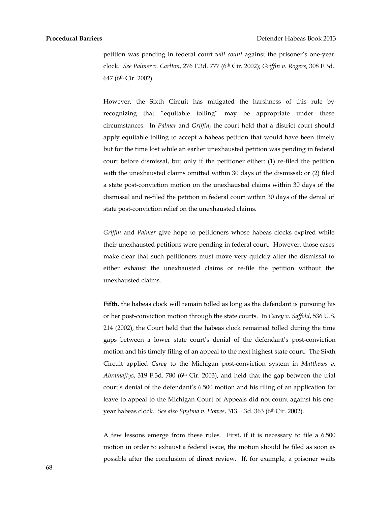petition was pending in federal court *will count* against the prisoner's one-year clock. *See Palmer v. Carlton*, 276 F.3d. 777 (6th Cir. 2002); *Griffin v. Rogers*, 308 F.3d. 647 (6th Cir. 2002).

However, the Sixth Circuit has mitigated the harshness of this rule by recognizing that "equitable tolling" may be appropriate under these circumstances. In *Palmer* and *Griffin*, the court held that a district court should apply equitable tolling to accept a habeas petition that would have been timely but for the time lost while an earlier unexhausted petition was pending in federal court before dismissal, but only if the petitioner either: (1) re-filed the petition with the unexhausted claims omitted within 30 days of the dismissal; or (2) filed a state post-conviction motion on the unexhausted claims within 30 days of the dismissal and re-filed the petition in federal court within 30 days of the denial of state post-conviction relief on the unexhausted claims.

*Griffin* and *Palmer* give hope to petitioners whose habeas clocks expired while their unexhausted petitions were pending in federal court. However, those cases make clear that such petitioners must move very quickly after the dismissal to either exhaust the unexhausted claims or re-file the petition without the unexhausted claims.

**Fifth**, the habeas clock will remain tolled as long as the defendant is pursuing his or her post-conviction motion through the state courts. In *Carey v. Saffold*, 536 U.S. 214 (2002), the Court held that the habeas clock remained tolled during the time gaps between a lower state court's denial of the defendant's post-conviction motion and his timely filing of an appeal to the next highest state court. The Sixth Circuit applied *Carey* to the Michigan post-conviction system in *Matthews v. Abramajtys*, 319 F.3d. 780 (6th Cir. 2003), and held that the gap between the trial court's denial of the defendant's 6.500 motion and his filing of an application for leave to appeal to the Michigan Court of Appeals did not count against his oneyear habeas clock. *See also Spytma v. Howes*, 313 F.3d. 363 (6th Cir. 2002).

A few lessons emerge from these rules. First, if it is necessary to file a 6.500 motion in order to exhaust a federal issue, the motion should be filed as soon as possible after the conclusion of direct review. If, for example, a prisoner waits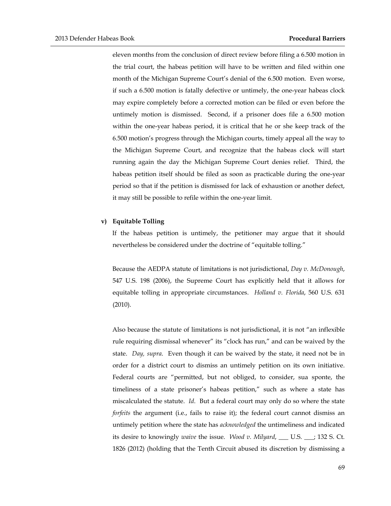eleven months from the conclusion of direct review before filing a 6.500 motion in the trial court, the habeas petition will have to be written and filed within one month of the Michigan Supreme Court's denial of the 6.500 motion. Even worse, if such a 6.500 motion is fatally defective or untimely, the one-year habeas clock may expire completely before a corrected motion can be filed or even before the untimely motion is dismissed. Second, if a prisoner does file a 6.500 motion within the one-year habeas period, it is critical that he or she keep track of the 6.500 motion's progress through the Michigan courts, timely appeal all the way to the Michigan Supreme Court, and recognize that the habeas clock will start running again the day the Michigan Supreme Court denies relief. Third, the habeas petition itself should be filed as soon as practicable during the one-year period so that if the petition is dismissed for lack of exhaustion or another defect, it may still be possible to refile within the one-year limit.

#### **v) Equitable Tolling**

If the habeas petition is untimely, the petitioner may argue that it should nevertheless be considered under the doctrine of "equitable tolling."

Because the AEDPA statute of limitations is not jurisdictional, *Day v. McDonough*, 547 U.S. 198 (2006), the Supreme Court has explicitly held that it allows for equitable tolling in appropriate circumstances. *Holland v. Florida*, 560 U.S. 631 (2010).

Also because the statute of limitations is not jurisdictional, it is not "an inflexible rule requiring dismissal whenever" its "clock has run," and can be waived by the state. *Day, supra*. Even though it can be waived by the state, it need not be in order for a district court to dismiss an untimely petition on its own initiative. Federal courts are "permitted, but not obliged, to consider, sua sponte, the timeliness of a state prisoner's habeas petition," such as where a state has miscalculated the statute. *Id*. But a federal court may only do so where the state *forfeits* the argument (i.e., fails to raise it); the federal court cannot dismiss an untimely petition where the state has *acknowledged* the untimeliness and indicated its desire to knowingly *waive* the issue. *Wood v. Milyard*, \_\_\_ U.S. \_\_\_; 132 S. Ct. 1826 (2012) (holding that the Tenth Circuit abused its discretion by dismissing a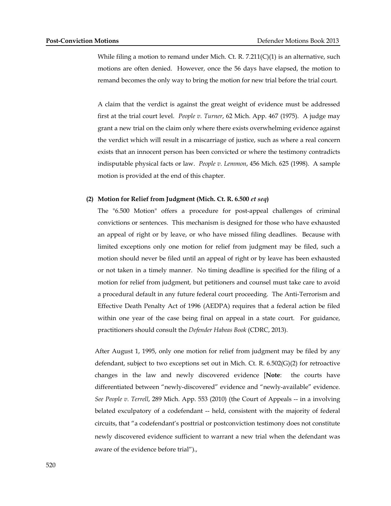While filing a motion to remand under Mich. Ct. R. 7.211(C)(1) is an alternative, such motions are often denied. However, once the 56 days have elapsed, the motion to remand becomes the only way to bring the motion for new trial before the trial court.

A claim that the verdict is against the great weight of evidence must be addressed first at the trial court level. *People v. Turner*, 62 Mich. App. 467 (1975). A judge may grant a new trial on the claim only where there exists overwhelming evidence against the verdict which will result in a miscarriage of justice, such as where a real concern exists that an innocent person has been convicted or where the testimony contradicts indisputable physical facts or law. *People v. Lemmon*, 456 Mich. 625 (1998). A sample motion is provided at the end of this chapter.

#### **(2) Motion for Relief from Judgment (Mich. Ct. R. 6.500** *et seq***)**

The "6.500 Motion" offers a procedure for post-appeal challenges of criminal convictions or sentences. This mechanism is designed for those who have exhausted an appeal of right or by leave, or who have missed filing deadlines. Because with limited exceptions only one motion for relief from judgment may be filed, such a motion should never be filed until an appeal of right or by leave has been exhausted or not taken in a timely manner. No timing deadline is specified for the filing of a motion for relief from judgment, but petitioners and counsel must take care to avoid a procedural default in any future federal court proceeding. The Anti-Terrorism and Effective Death Penalty Act of 1996 (AEDPA) requires that a federal action be filed within one year of the case being final on appeal in a state court. For guidance, practitioners should consult the *Defender Habeas Book* (CDRC, 2013).

After August 1, 1995, only one motion for relief from judgment may be filed by any defendant, subject to two exceptions set out in Mich. Ct. R.  $6.502(G)(2)$  for retroactive changes in the law and newly discovered evidence [**Note**: the courts have differentiated between "newly-discovered" evidence and "newly-available" evidence. *See People v. Terrell*, 289 Mich. App. 553 (2010) (the Court of Appeals -- in a involving belated exculpatory of a codefendant -- held, consistent with the majority of federal circuits, that "a codefendant's posttrial or postconviction testimony does not constitute newly discovered evidence sufficient to warrant a new trial when the defendant was aware of the evidence before trial").,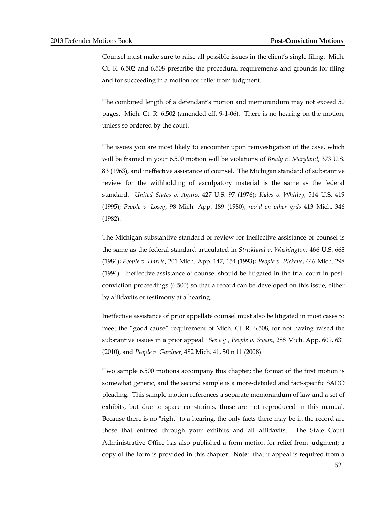Counsel must make sure to raise all possible issues in the client's single filing. Mich. Ct. R. 6.502 and 6.508 prescribe the procedural requirements and grounds for filing and for succeeding in a motion for relief from judgment.

The combined length of a defendant's motion and memorandum may not exceed 50 pages. Mich. Ct. R. 6.502 (amended eff. 9-1-06). There is no hearing on the motion, unless so ordered by the court.

The issues you are most likely to encounter upon reinvestigation of the case, which will be framed in your 6.500 motion will be violations of *Brady v. Maryland*, 373 U.S. 83 (1963), and ineffective assistance of counsel. The Michigan standard of substantive review for the withholding of exculpatory material is the same as the federal standard. *United States v. Agurs*, 427 U.S. 97 (1976); *Kyles v. Whitley*, 514 U.S. 419 (1995); *People v. Losey*, 98 Mich. App. 189 (1980), *rev'd on other grds* 413 Mich. 346 (1982).

The Michigan substantive standard of review for ineffective assistance of counsel is the same as the federal standard articulated in *Strickland v. Washington*, 466 U.S. 668 (1984); *People v. Harris*, 201 Mich. App. 147, 154 (1993); *People v. Pickens*, 446 Mich. 298 (1994). Ineffective assistance of counsel should be litigated in the trial court in postconviction proceedings (6.500) so that a record can be developed on this issue, either by affidavits or testimony at a hearing.

Ineffective assistance of prior appellate counsel must also be litigated in most cases to meet the "good cause" requirement of Mich. Ct. R. 6.508, for not having raised the substantive issues in a prior appeal. *See e.g.*, *People v. Swain*, 288 Mich. App. 609, 631 (2010), and *People v. Gardner*, 482 Mich. 41, 50 n 11 (2008).

Two sample 6.500 motions accompany this chapter; the format of the first motion is somewhat generic, and the second sample is a more-detailed and fact-specific SADO pleading. This sample motion references a separate memorandum of law and a set of exhibits, but due to space constraints, those are not reproduced in this manual. Because there is no "right" to a hearing, the only facts there may be in the record are those that entered through your exhibits and all affidavits. The State Court Administrative Office has also published a form motion for relief from judgment; a copy of the form is provided in this chapter. **Note**: that if appeal is required from a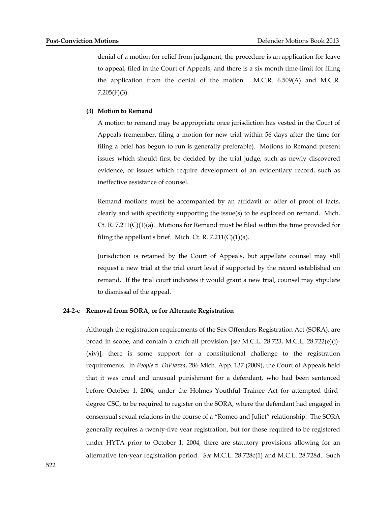denial of a motion for relief from judgment, the procedure is an application for leave to appeal, filed in the Court of Appeals, and there is a six month time-limit for filing the application from the denial of the motion. M.C.R. 6.509(A) and M.C.R. 7.205(F)(3).

#### **(3) Motion to Remand**

A motion to remand may be appropriate once jurisdiction has vested in the Court of Appeals (remember, filing a motion for new trial within 56 days after the time for filing a brief has begun to run is generally preferable). Motions to Remand present issues which should first be decided by the trial judge, such as newly discovered evidence, or issues which require development of an evidentiary record, such as ineffective assistance of counsel.

Remand motions must be accompanied by an affidavit or offer of proof of facts, clearly and with specificity supporting the issue(s) to be explored on remand. Mich.  $C_t$ . R. 7.211 $(C)(1)(a)$ . Motions for Remand must be filed within the time provided for filing the appellant's brief. Mich. Ct. R.  $7.211(C)(1)(a)$ .

Jurisdiction is retained by the Court of Appeals, but appellate counsel may still request a new trial at the trial court level if supported by the record established on remand. If the trial court indicates it would grant a new trial, counsel may stipulate to dismissal of the appeal.

#### **24-2-c Removal from SORA, or for Alternate Registration**

Although the registration requirements of the Sex Offenders Registration Act (SORA), are broad in scope, and contain a catch-all provision [*see* M.C.L. 28.723, M.C.L. 28.722(e)(i)- (xiv)], there is some support for a constitutional challenge to the registration requirements. In *People v. DiPiazza*, 286 Mich. App. 137 (2009), the Court of Appeals held that it was cruel and unusual punishment for a defendant, who had been sentenced before October 1, 2004, under the Holmes Youthful Trainee Act for attempted thirddegree CSC, to be required to register on the SORA, where the defendant had engaged in consensual sexual relations in the course of a "Romeo and Juliet" relationship. The SORA generally requires a twenty‐five year registration, but for those required to be registered under HYTA prior to October 1, 2004, there are statutory provisions allowing for an alternative ten‐year registration period. *See* M.C.L. 28.728c(1) and M.C.L. 28.728d. Such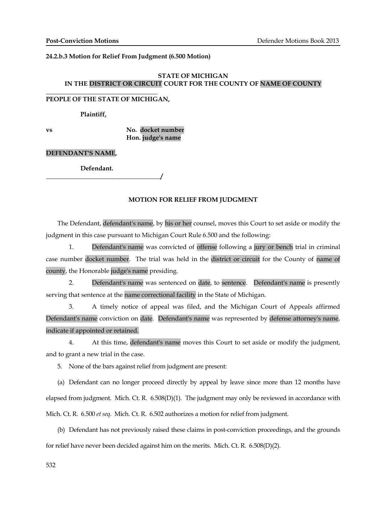#### **24.2.b.3 Motion for Relief From Judgment (6.500 Motion)**

## **STATE OF MICHIGAN IN THE DISTRICT OR CIRCUIT COURT FOR THE COUNTY OF NAME OF COUNTY**

# **PEOPLE OF THE STATE OF MICHIGAN,**

**\_\_\_\_\_\_\_\_\_\_\_\_\_\_\_\_\_\_\_\_\_\_\_\_\_\_\_\_\_\_\_\_\_\_\_** 

 **Plaintiff,** 

**vs** No. docket number  **Hon. judge's name** 

#### **DEFENDANT'S NAME,**

 **Defendant.** 

**\_\_\_\_\_\_\_\_\_\_\_\_\_\_\_\_\_\_\_\_\_\_\_\_\_\_\_\_\_\_\_\_\_\_\_\_/** 

#### **MOTION FOR RELIEF FROM JUDGMENT**

 The Defendant, defendant's name, by his or her counsel, moves this Court to set aside or modify the judgment in this case pursuant to Michigan Court Rule 6.500 and the following:

 1. Defendant's name was convicted of offense following a jury or bench trial in criminal case number docket number. The trial was held in the district or circuit for the County of name of county, the Honorable judge's name presiding.

 2. Defendant's name was sentenced on date, to sentence. Defendant's name is presently serving that sentence at the name correctional facility in the State of Michigan.

 3. A timely notice of appeal was filed, and the Michigan Court of Appeals affirmed Defendant's name conviction on date. Defendant's name was represented by defense attorney's name, indicate if appointed or retained.

 4. At this time, defendant's name moves this Court to set aside or modify the judgment, and to grant a new trial in the case.

5. None of the bars against relief from judgment are present:

 (a) Defendant can no longer proceed directly by appeal by leave since more than 12 months have elapsed from judgment. Mich. Ct. R. 6.508(D)(1). The judgment may only be reviewed in accordance with Mich. Ct. R. 6.500 *et seq*. Mich. Ct. R. 6.502 authorizes a motion for relief from judgment.

 (b) Defendant has not previously raised these claims in post-conviction proceedings, and the grounds for relief have never been decided against him on the merits. Mich. Ct. R. 6.508(D)(2).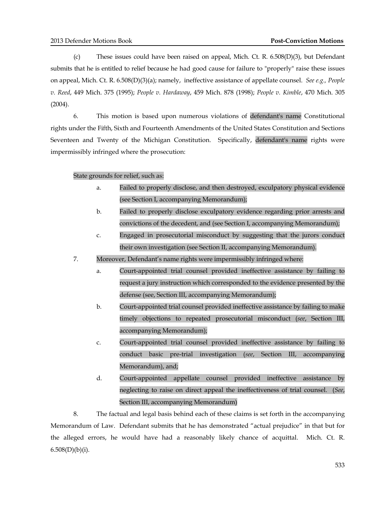(c) These issues could have been raised on appeal, Mich. Ct. R. 6.508(D)(3), but Defendant submits that he is entitled to relief because he had good cause for failure to "properly" raise these issues on appeal, Mich. Ct. R. 6.508(D)(3)(a); namely, ineffective assistance of appellate counsel. *See e.g., People v. Reed*, 449 Mich. 375 (1995); *People v. Hardaway*, 459 Mich. 878 (1998); *People v. Kimble*, 470 Mich. 305 (2004).

 6. This motion is based upon numerous violations of defendant's name Constitutional rights under the Fifth, Sixth and Fourteenth Amendments of the United States Constitution and Sections Seventeen and Twenty of the Michigan Constitution. Specifically, defendant's name rights were impermissibly infringed where the prosecution:

State grounds for relief, such as:

- a. Failed to properly disclose, and then destroyed, exculpatory physical evidence (see Section I, accompanying Memorandum);
- b. Failed to properly disclose exculpatory evidence regarding prior arrests and convictions of the decedent, and (see Section I, accompanying Memorandum);
- c. Engaged in prosecutorial misconduct by suggesting that the jurors conduct their own investigation (see Section II, accompanying Memorandum).
- 7. Moreover, Defendant's name rights were impermissibly infringed where:
	- a. Court-appointed trial counsel provided ineffective assistance by failing to request a jury instruction which corresponded to the evidence presented by the defense (see, Section III, accompanying Memorandum);
	- b. Court-appointed trial counsel provided ineffective assistance by failing to make timely objections to repeated prosecutorial misconduct (*see*, Section III, accompanying Memorandum);
	- c. Court-appointed trial counsel provided ineffective assistance by failing to conduct basic pre-trial investigation (*see*, Section III, accompanying Memorandum), and;
	- d. Court-appointed appellate counsel provided ineffective assistance by neglecting to raise on direct appeal the ineffectiveness of trial counsel. (*See*, Section III, accompanying Memorandum)

 8. The factual and legal basis behind each of these claims is set forth in the accompanying Memorandum of Law. Defendant submits that he has demonstrated "actual prejudice" in that but for the alleged errors, he would have had a reasonably likely chance of acquittal. Mich. Ct. R.  $6.508(D)(b)(i)$ .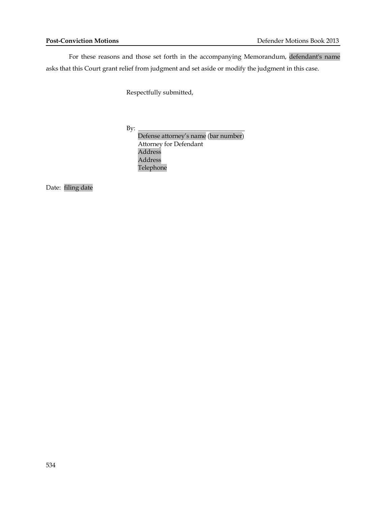For these reasons and those set forth in the accompanying Memorandum, defendant's name asks that this Court grant relief from judgment and set aside or modify the judgment in this case.

Respectfully submitted,

By: \_\_\_\_\_\_\_\_\_\_\_\_\_\_\_\_\_\_\_\_\_\_\_\_\_\_\_\_\_\_\_\_\_\_

 Defense attorney's name (bar number) Attorney for Defendant Address Address Telephone

Date: filing date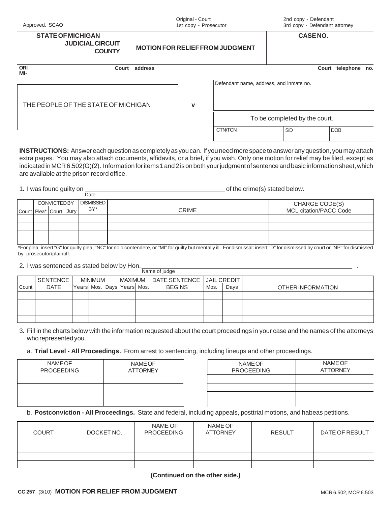#### Original - Court 1st copy - Prosecutor

2nd copy - Defendant 3rd copy - Defendant attorney

#### **STATE OF MICHIGAN CASE NO. JUDICIAL CIRCUIT COUNTY**

# **MOTION FOR RELIEF FROM JUDGMENT**

| <b>ORI</b><br>address<br>Court<br>MI- |   |                                         |                               | Court telephone | no. |
|---------------------------------------|---|-----------------------------------------|-------------------------------|-----------------|-----|
| THE PEOPLE OF THE STATE OF MICHIGAN   | v | Defendant name, address, and inmate no. |                               |                 |     |
|                                       |   |                                         | To be completed by the court. |                 |     |
|                                       |   | <b>CTN/TCN</b>                          | <b>SID</b>                    | <b>DOB</b>      |     |

**INSTRUCTIONS:** Answer each question as completely as you can. If you need more space to answer any question, you may attach extra pages. You may also attach documents, affidavits, or a brief, if you wish. Only one motion for relief may be filed, except as indicated in MCR 6.502(G)(2). Information for items 1 and 2 is on both your judgment of sentence and basic information sheet, which are available at the prison record office.

**Date** 

1. I was found guilty on of the crime(s) stated below.

| DISMISSED<br><b>CONVICTEDBY</b><br>BY*<br> Count  Plea*   Court   Jury |  | <b>CRIME</b> | CHARGE CODE(S)<br>MCL citation/PACC Code |  |
|------------------------------------------------------------------------|--|--------------|------------------------------------------|--|
|                                                                        |  |              |                                          |  |
|                                                                        |  |              |                                          |  |
|                                                                        |  |              |                                          |  |
|                                                                        |  |              |                                          |  |

\*For plea: insert "G" for guilty plea, "NC" for nolo contendere, or "MI" for guilty but mentally ill. For dismissal: insert "D" for dismissed by court or "NP" for dismissed by prosecutor/plaintiff.

| 2. I was sentenced as stated below by Hon. |                                                                      |  |  |  |                            |  |               |        |      |                   |  |
|--------------------------------------------|----------------------------------------------------------------------|--|--|--|----------------------------|--|---------------|--------|------|-------------------|--|
|                                            | Name of judge                                                        |  |  |  |                            |  |               |        |      |                   |  |
|                                            | DATE SENTENCE   JAIL CREDIT<br>MAXIMUM<br>SENTENCE<br><b>MINIMUM</b> |  |  |  |                            |  |               |        |      |                   |  |
| Count                                      | <b>DATE</b>                                                          |  |  |  | Years Mos. Days Years Mos. |  | <b>BEGINS</b> | l Mos. | Days | OTHER INFORMATION |  |
|                                            |                                                                      |  |  |  |                            |  |               |        |      |                   |  |
|                                            |                                                                      |  |  |  |                            |  |               |        |      |                   |  |
|                                            |                                                                      |  |  |  |                            |  |               |        |      |                   |  |
|                                            |                                                                      |  |  |  |                            |  |               |        |      |                   |  |

3. Fill in the charts below with the information requested about the court proceedings in your case and the names of the attorneys who represented you.

a. **Trial Level - All Proceedings.** From arrest to sentencing, including lineups and other proceedings.

| NAME OF<br><b>PROCEEDING</b> | NAME OF<br><b>ATTORNEY</b> |
|------------------------------|----------------------------|
|                              |                            |
|                              |                            |
|                              |                            |
|                              |                            |

| NAME OF           | NAME OF         |
|-------------------|-----------------|
| <b>PROCEEDING</b> | <b>ATTORNEY</b> |
|                   |                 |
|                   |                 |
|                   |                 |
|                   |                 |

b. **Postconviction - All Proceedings.** State and federal, including appeals, posttrial motions, and habeas petitions.

| <b>COURT</b> | DOCKET NO. | NAME OF<br>PROCEEDING | NAME OF<br><b>ATTORNEY</b> | <b>RESULT</b> | DATE OF RESULT |
|--------------|------------|-----------------------|----------------------------|---------------|----------------|
|              |            |                       |                            |               |                |
|              |            |                       |                            |               |                |
|              |            |                       |                            |               |                |
|              |            |                       |                            |               |                |

**(Continued on the other side.)**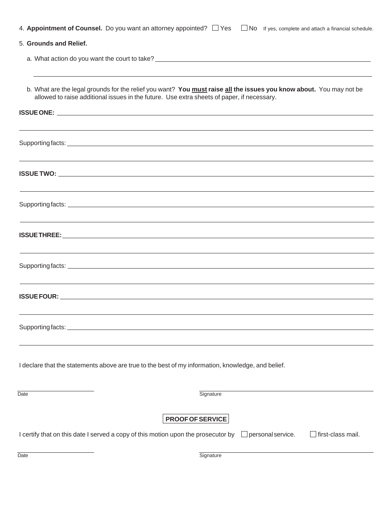| 4. Appointment of Counsel. Do you want an attorney appointed? Nes No If yes, complete and attach a financial schedule.                                                                                            |
|-------------------------------------------------------------------------------------------------------------------------------------------------------------------------------------------------------------------|
| 5. Grounds and Relief.                                                                                                                                                                                            |
|                                                                                                                                                                                                                   |
| b. What are the legal grounds for the relief you want? You must raise all the issues you know about. You may not be<br>allowed to raise additional issues in the future. Use extra sheets of paper, if necessary. |
|                                                                                                                                                                                                                   |
|                                                                                                                                                                                                                   |
|                                                                                                                                                                                                                   |
|                                                                                                                                                                                                                   |
|                                                                                                                                                                                                                   |
|                                                                                                                                                                                                                   |
|                                                                                                                                                                                                                   |
|                                                                                                                                                                                                                   |
| I declare that the statements above are true to the best of my information, knowledge, and belief.                                                                                                                |
| Signature<br>Date                                                                                                                                                                                                 |
| <b>PROOF OF SERVICE</b>                                                                                                                                                                                           |
| I certify that on this date I served a copy of this motion upon the prosecutor by $\Box$ personal service.<br>$\Box$ first-class mail.                                                                            |
| Signature<br>Date                                                                                                                                                                                                 |